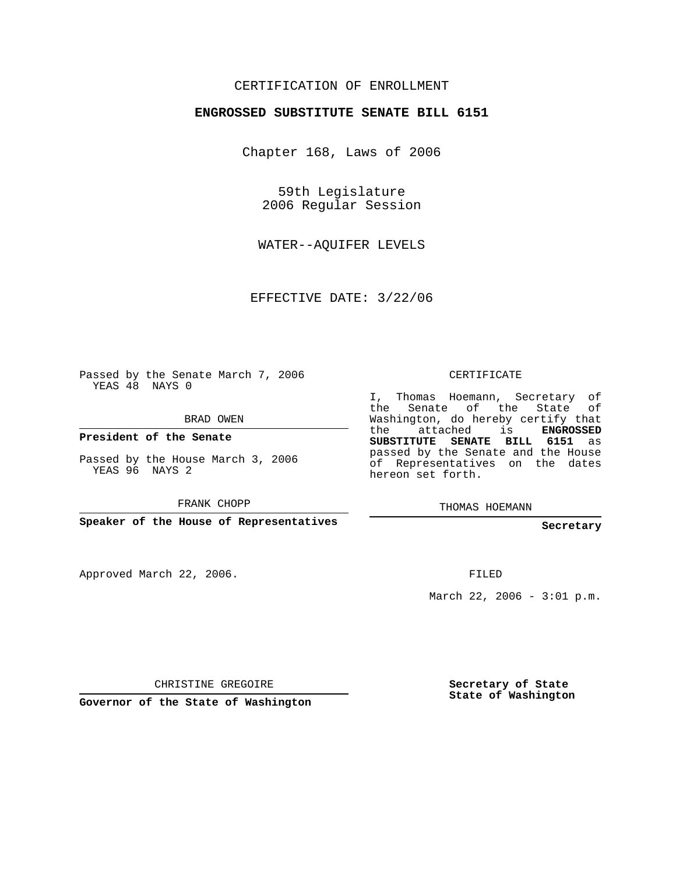## CERTIFICATION OF ENROLLMENT

## **ENGROSSED SUBSTITUTE SENATE BILL 6151**

Chapter 168, Laws of 2006

59th Legislature 2006 Regular Session

WATER--AQUIFER LEVELS

EFFECTIVE DATE: 3/22/06

Passed by the Senate March 7, 2006 YEAS 48 NAYS 0

BRAD OWEN

**President of the Senate**

Passed by the House March 3, 2006 YEAS 96 NAYS 2

FRANK CHOPP

**Speaker of the House of Representatives**

Approved March 22, 2006.

CERTIFICATE

I, Thomas Hoemann, Secretary of the Senate of the State of Washington, do hereby certify that the attached is **ENGROSSED SUBSTITUTE SENATE BILL 6151** as passed by the Senate and the House of Representatives on the dates hereon set forth.

THOMAS HOEMANN

**Secretary**

FILED

March 22, 2006 - 3:01 p.m.

CHRISTINE GREGOIRE

**Governor of the State of Washington**

**Secretary of State State of Washington**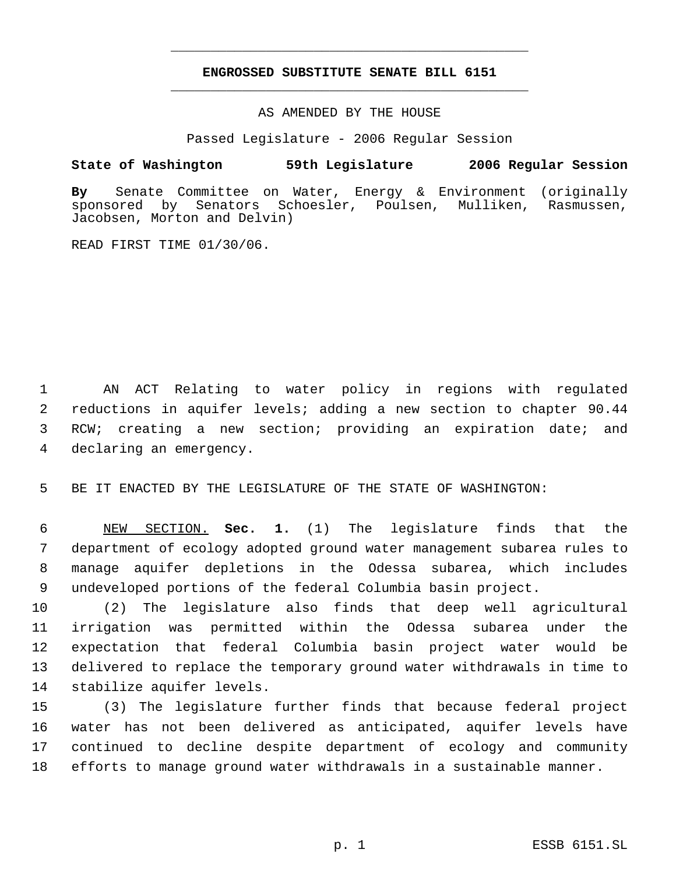## **ENGROSSED SUBSTITUTE SENATE BILL 6151** \_\_\_\_\_\_\_\_\_\_\_\_\_\_\_\_\_\_\_\_\_\_\_\_\_\_\_\_\_\_\_\_\_\_\_\_\_\_\_\_\_\_\_\_\_

\_\_\_\_\_\_\_\_\_\_\_\_\_\_\_\_\_\_\_\_\_\_\_\_\_\_\_\_\_\_\_\_\_\_\_\_\_\_\_\_\_\_\_\_\_

AS AMENDED BY THE HOUSE

Passed Legislature - 2006 Regular Session

## **State of Washington 59th Legislature 2006 Regular Session**

**By** Senate Committee on Water, Energy & Environment (originally Senators Schoesler, Poulsen, Mulliken, Rasmussen, Jacobsen, Morton and Delvin)

READ FIRST TIME 01/30/06.

 AN ACT Relating to water policy in regions with regulated reductions in aquifer levels; adding a new section to chapter 90.44 RCW; creating a new section; providing an expiration date; and declaring an emergency.

BE IT ENACTED BY THE LEGISLATURE OF THE STATE OF WASHINGTON:

 NEW SECTION. **Sec. 1.** (1) The legislature finds that the department of ecology adopted ground water management subarea rules to manage aquifer depletions in the Odessa subarea, which includes undeveloped portions of the federal Columbia basin project.

 (2) The legislature also finds that deep well agricultural irrigation was permitted within the Odessa subarea under the expectation that federal Columbia basin project water would be delivered to replace the temporary ground water withdrawals in time to stabilize aquifer levels.

 (3) The legislature further finds that because federal project water has not been delivered as anticipated, aquifer levels have continued to decline despite department of ecology and community efforts to manage ground water withdrawals in a sustainable manner.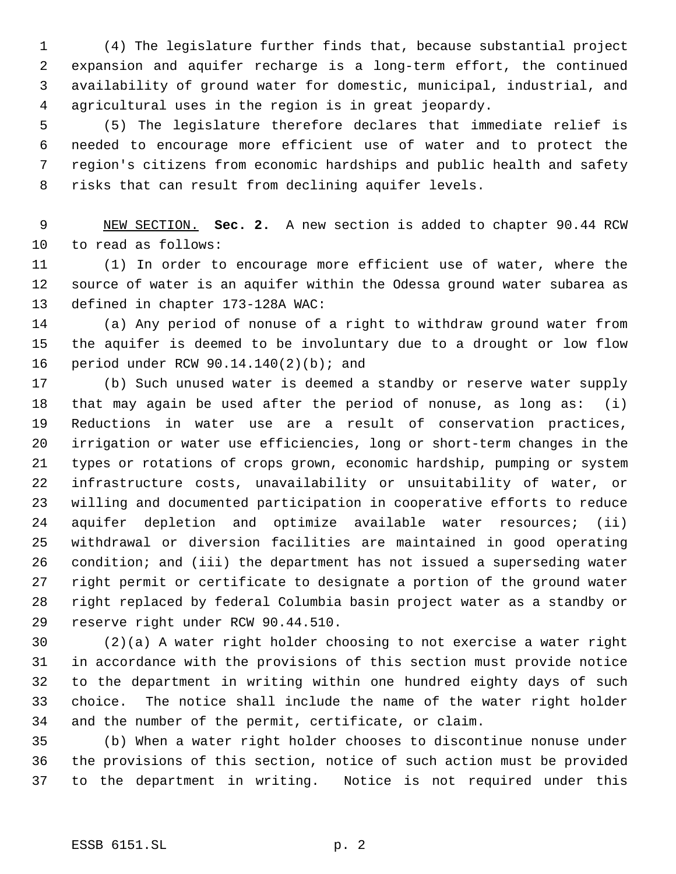(4) The legislature further finds that, because substantial project expansion and aquifer recharge is a long-term effort, the continued availability of ground water for domestic, municipal, industrial, and agricultural uses in the region is in great jeopardy.

 (5) The legislature therefore declares that immediate relief is needed to encourage more efficient use of water and to protect the region's citizens from economic hardships and public health and safety risks that can result from declining aquifer levels.

 NEW SECTION. **Sec. 2.** A new section is added to chapter 90.44 RCW to read as follows:

 (1) In order to encourage more efficient use of water, where the source of water is an aquifer within the Odessa ground water subarea as defined in chapter 173-128A WAC:

 (a) Any period of nonuse of a right to withdraw ground water from the aquifer is deemed to be involuntary due to a drought or low flow period under RCW 90.14.140(2)(b); and

 (b) Such unused water is deemed a standby or reserve water supply that may again be used after the period of nonuse, as long as: (i) Reductions in water use are a result of conservation practices, irrigation or water use efficiencies, long or short-term changes in the types or rotations of crops grown, economic hardship, pumping or system infrastructure costs, unavailability or unsuitability of water, or willing and documented participation in cooperative efforts to reduce aquifer depletion and optimize available water resources; (ii) withdrawal or diversion facilities are maintained in good operating condition; and (iii) the department has not issued a superseding water right permit or certificate to designate a portion of the ground water right replaced by federal Columbia basin project water as a standby or reserve right under RCW 90.44.510.

 (2)(a) A water right holder choosing to not exercise a water right in accordance with the provisions of this section must provide notice to the department in writing within one hundred eighty days of such choice. The notice shall include the name of the water right holder and the number of the permit, certificate, or claim.

 (b) When a water right holder chooses to discontinue nonuse under the provisions of this section, notice of such action must be provided to the department in writing. Notice is not required under this